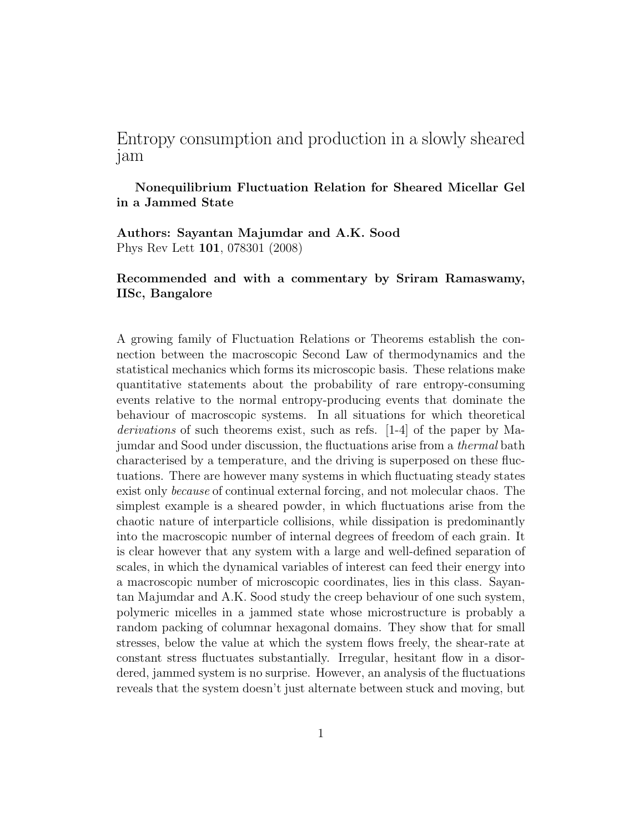## Entropy consumption and production in a slowly sheared jam

## Nonequilibrium Fluctuation Relation for Sheared Micellar Gel in a Jammed State

Authors: Sayantan Majumdar and A.K. Sood Phys Rev Lett 101, 078301 (2008)

## Recommended and with a commentary by Sriram Ramaswamy, IISc, Bangalore

A growing family of Fluctuation Relations or Theorems establish the connection between the macroscopic Second Law of thermodynamics and the statistical mechanics which forms its microscopic basis. These relations make quantitative statements about the probability of rare entropy-consuming events relative to the normal entropy-producing events that dominate the behaviour of macroscopic systems. In all situations for which theoretical derivations of such theorems exist, such as refs. [1-4] of the paper by Majumdar and Sood under discussion, the fluctuations arise from a thermal bath characterised by a temperature, and the driving is superposed on these fluctuations. There are however many systems in which fluctuating steady states exist only because of continual external forcing, and not molecular chaos. The simplest example is a sheared powder, in which fluctuations arise from the chaotic nature of interparticle collisions, while dissipation is predominantly into the macroscopic number of internal degrees of freedom of each grain. It is clear however that any system with a large and well-defined separation of scales, in which the dynamical variables of interest can feed their energy into a macroscopic number of microscopic coordinates, lies in this class. Sayantan Majumdar and A.K. Sood study the creep behaviour of one such system, polymeric micelles in a jammed state whose microstructure is probably a random packing of columnar hexagonal domains. They show that for small stresses, below the value at which the system flows freely, the shear-rate at constant stress fluctuates substantially. Irregular, hesitant flow in a disordered, jammed system is no surprise. However, an analysis of the fluctuations reveals that the system doesn't just alternate between stuck and moving, but